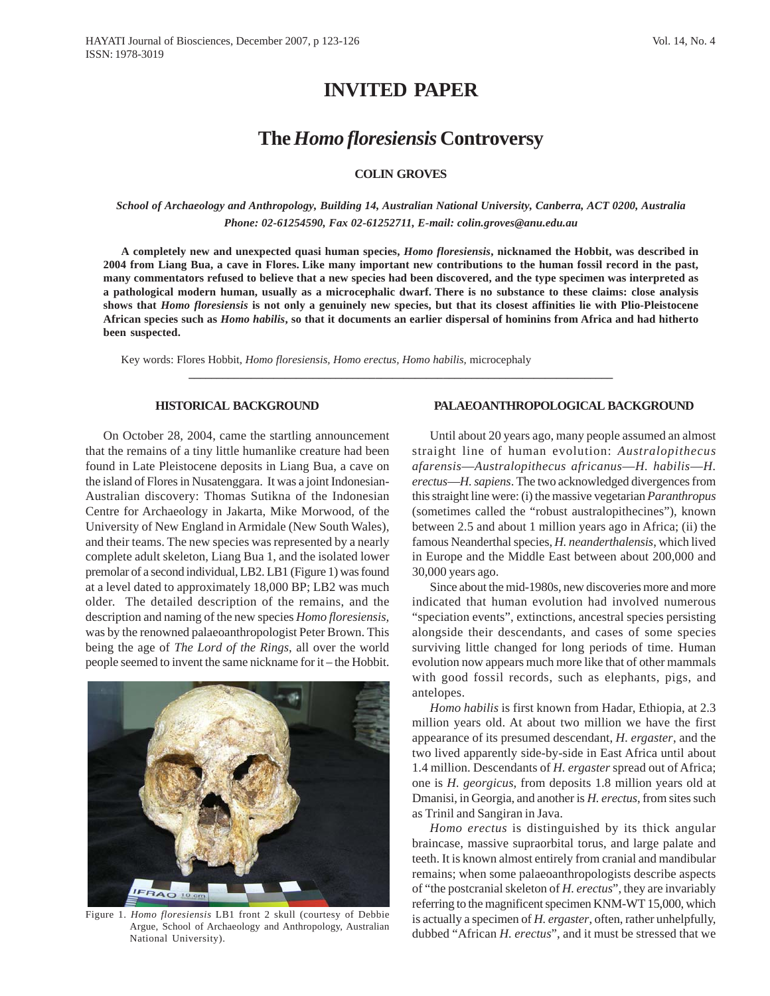# **INVITED PAPER**

## **The** *Homo floresiensis* **Controversy**

## **COLIN GROVES**

## *School of Archaeology and Anthropology, Building 14, Australian National University, Canberra, ACT 0200, Australia Phone: 02-61254590, Fax 02-61252711, E-mail: colin.groves@anu.edu.au*

**A completely new and unexpected quasi human species,** *Homo floresiensis***, nicknamed the Hobbit, was described in 2004 from Liang Bua, a cave in Flores. Like many important new contributions to the human fossil record in the past, many commentators refused to believe that a new species had been discovered, and the type specimen was interpreted as a pathological modern human, usually as a microcephalic dwarf. There is no substance to these claims: close analysis shows that** *Homo floresiensis* **is not only a genuinely new species, but that its closest affinities lie with Plio-Pleistocene African species such as** *Homo habilis***, so that it documents an earlier dispersal of hominins from Africa and had hitherto been suspected.**

**\_\_\_\_\_\_\_\_\_\_\_\_\_\_\_\_\_\_\_\_\_\_\_\_\_\_\_\_\_\_\_\_\_\_\_\_\_\_\_\_\_\_\_\_\_\_\_\_\_\_\_\_\_\_\_\_\_\_\_\_\_\_\_\_\_\_\_\_\_\_\_\_\_\_\_**

Key words: Flores Hobbit, *Homo floresiensis, Homo erectus, Homo habilis,* microcephaly

#### **HISTORICAL BACKGROUND**

On October 28, 2004, came the startling announcement that the remains of a tiny little humanlike creature had been found in Late Pleistocene deposits in Liang Bua, a cave on the island of Flores in Nusatenggara. It was a joint Indonesian-Australian discovery: Thomas Sutikna of the Indonesian Centre for Archaeology in Jakarta, Mike Morwood, of the University of New England in Armidale (New South Wales), and their teams. The new species was represented by a nearly complete adult skeleton, Liang Bua 1, and the isolated lower premolar of a second individual, LB2. LB1 (Figure 1) was found at a level dated to approximately 18,000 BP; LB2 was much older. The detailed description of the remains, and the description and naming of the new species *Homo floresiensis,* was by the renowned palaeoanthropologist Peter Brown. This being the age of *The Lord of the Rings*, all over the world people seemed to invent the same nickname for it – the Hobbit.



Figure 1. *Homo floresiensis* LB1 front 2 skull (courtesy of Debbie Argue, School of Archaeology and Anthropology, Australian National University).

### **PALAEOANTHROPOLOGICAL BACKGROUND**

Until about 20 years ago, many people assumed an almost straight line of human evolution: *Australopithecus afarensis*—*Australopithecus africanus*—*H. habilis*—*H. erectus*—*H. sapiens*. The two acknowledged divergences from this straight line were: (i) the massive vegetarian *Paranthropus* (sometimes called the "robust australopithecines"), known between 2.5 and about 1 million years ago in Africa; (ii) the famous Neanderthal species, *H. neanderthalensis*, which lived in Europe and the Middle East between about 200,000 and 30,000 years ago.

Since about the mid-1980s, new discoveries more and more indicated that human evolution had involved numerous "speciation events", extinctions, ancestral species persisting alongside their descendants, and cases of some species surviving little changed for long periods of time. Human evolution now appears much more like that of other mammals with good fossil records, such as elephants, pigs, and antelopes.

*Homo habilis* is first known from Hadar, Ethiopia, at 2.3 million years old. At about two million we have the first appearance of its presumed descendant, *H. ergaster*, and the two lived apparently side-by-side in East Africa until about 1.4 million. Descendants of *H. ergaster* spread out of Africa; one is *H. georgicus*, from deposits 1.8 million years old at Dmanisi, in Georgia, and another is *H. erectus*, from sites such as Trinil and Sangiran in Java.

*Homo erectus* is distinguished by its thick angular braincase, massive supraorbital torus, and large palate and teeth. It is known almost entirely from cranial and mandibular remains; when some palaeoanthropologists describe aspects of "the postcranial skeleton of *H. erectus*", they are invariably referring to the magnificent specimen KNM-WT 15,000, which is actually a specimen of *H. ergaster*, often, rather unhelpfully, dubbed "African *H. erectus*", and it must be stressed that we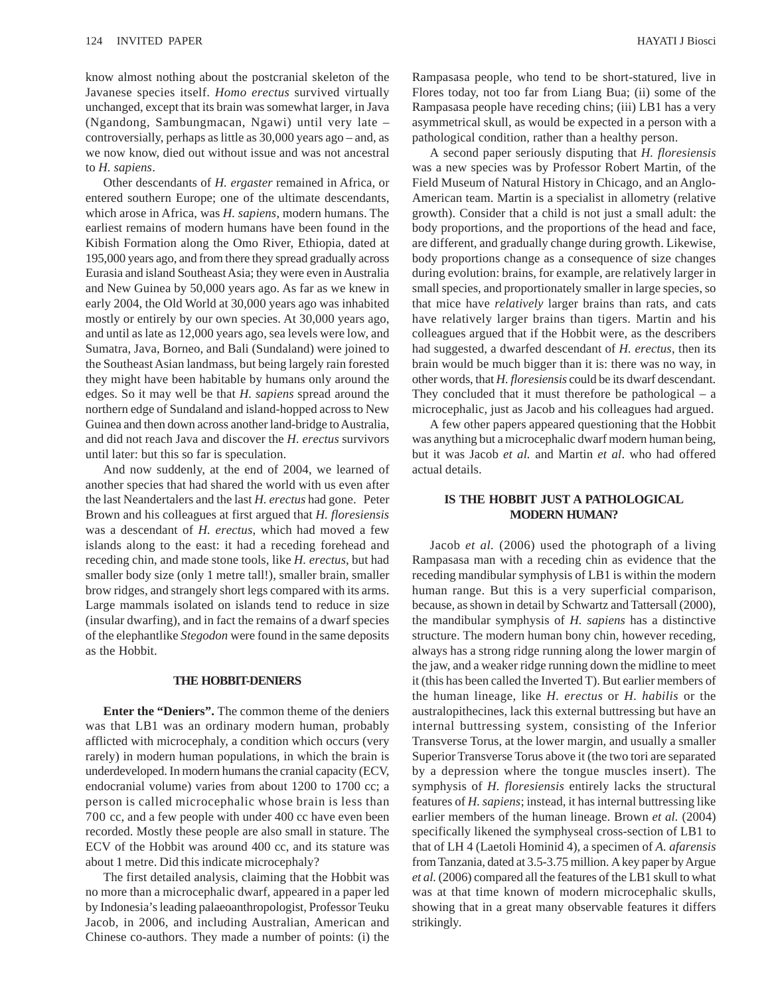know almost nothing about the postcranial skeleton of the Javanese species itself. *Homo erectus* survived virtually unchanged, except that its brain was somewhat larger, in Java (Ngandong, Sambungmacan, Ngawi) until very late – controversially, perhaps as little as 30,000 years ago – and, as we now know, died out without issue and was not ancestral to *H. sapiens*.

Other descendants of *H. ergaster* remained in Africa, or entered southern Europe; one of the ultimate descendants, which arose in Africa, was *H. sapiens*, modern humans. The earliest remains of modern humans have been found in the Kibish Formation along the Omo River, Ethiopia, dated at 195,000 years ago, and from there they spread gradually across Eurasia and island Southeast Asia; they were even in Australia and New Guinea by 50,000 years ago. As far as we knew in early 2004, the Old World at 30,000 years ago was inhabited mostly or entirely by our own species. At 30,000 years ago, and until as late as 12,000 years ago, sea levels were low, and Sumatra, Java, Borneo, and Bali (Sundaland) were joined to the Southeast Asian landmass, but being largely rain forested they might have been habitable by humans only around the edges. So it may well be that *H. sapiens* spread around the northern edge of Sundaland and island-hopped across to New Guinea and then down across another land-bridge to Australia, and did not reach Java and discover the *H. erectus* survivors until later: but this so far is speculation.

And now suddenly, at the end of 2004, we learned of another species that had shared the world with us even after the last Neandertalers and the last *H. erectus* had gone. Peter Brown and his colleagues at first argued that *H. floresiensis* was a descendant of *H. erectus*, which had moved a few islands along to the east: it had a receding forehead and receding chin, and made stone tools, like *H. erectus*, but had smaller body size (only 1 metre tall!), smaller brain, smaller brow ridges, and strangely short legs compared with its arms. Large mammals isolated on islands tend to reduce in size (insular dwarfing), and in fact the remains of a dwarf species of the elephantlike *Stegodon* were found in the same deposits as the Hobbit.

#### **THE HOBBIT-DENIERS**

**Enter the "Deniers".** The common theme of the deniers was that LB1 was an ordinary modern human, probably afflicted with microcephaly, a condition which occurs (very rarely) in modern human populations, in which the brain is underdeveloped. In modern humans the cranial capacity (ECV, endocranial volume) varies from about 1200 to 1700 cc; a person is called microcephalic whose brain is less than 700 cc, and a few people with under 400 cc have even been recorded. Mostly these people are also small in stature. The ECV of the Hobbit was around 400 cc, and its stature was about 1 metre. Did this indicate microcephaly?

The first detailed analysis, claiming that the Hobbit was no more than a microcephalic dwarf, appeared in a paper led by Indonesia's leading palaeoanthropologist, Professor Teuku Jacob, in 2006, and including Australian, American and Chinese co-authors. They made a number of points: (i) the Rampasasa people, who tend to be short-statured, live in Flores today, not too far from Liang Bua; (ii) some of the Rampasasa people have receding chins; (iii) LB1 has a very asymmetrical skull, as would be expected in a person with a pathological condition, rather than a healthy person.

A second paper seriously disputing that *H. floresiensis* was a new species was by Professor Robert Martin, of the Field Museum of Natural History in Chicago, and an Anglo-American team. Martin is a specialist in allometry (relative growth). Consider that a child is not just a small adult: the body proportions, and the proportions of the head and face, are different, and gradually change during growth. Likewise, body proportions change as a consequence of size changes during evolution: brains, for example, are relatively larger in small species, and proportionately smaller in large species, so that mice have *relatively* larger brains than rats, and cats have relatively larger brains than tigers. Martin and his colleagues argued that if the Hobbit were, as the describers had suggested, a dwarfed descendant of *H. erectus*, then its brain would be much bigger than it is: there was no way, in other words, that *H. floresiensis* could be its dwarf descendant. They concluded that it must therefore be pathological – a microcephalic, just as Jacob and his colleagues had argued.

A few other papers appeared questioning that the Hobbit was anything but a microcephalic dwarf modern human being, but it was Jacob *et al.* and Martin *et al*. who had offered actual details.

## **IS THE HOBBIT JUST A PATHOLOGICAL MODERN HUMAN?**

Jacob *et al.* (2006) used the photograph of a living Rampasasa man with a receding chin as evidence that the receding mandibular symphysis of LB1 is within the modern human range. But this is a very superficial comparison, because, as shown in detail by Schwartz and Tattersall (2000), the mandibular symphysis of *H. sapiens* has a distinctive structure. The modern human bony chin, however receding, always has a strong ridge running along the lower margin of the jaw, and a weaker ridge running down the midline to meet it (this has been called the Inverted T). But earlier members of the human lineage, like *H. erectus* or *H. habilis* or the australopithecines, lack this external buttressing but have an internal buttressing system, consisting of the Inferior Transverse Torus, at the lower margin, and usually a smaller Superior Transverse Torus above it (the two tori are separated by a depression where the tongue muscles insert). The symphysis of *H. floresiensis* entirely lacks the structural features of *H. sapiens*; instead, it has internal buttressing like earlier members of the human lineage. Brown *et al.* (2004) specifically likened the symphyseal cross-section of LB1 to that of LH 4 (Laetoli Hominid 4), a specimen of *A. afarensis* from Tanzania, dated at 3.5-3.75 million. A key paper by Argue *et al.* (2006) compared all the features of the LB1 skull to what was at that time known of modern microcephalic skulls, showing that in a great many observable features it differs strikingly*.*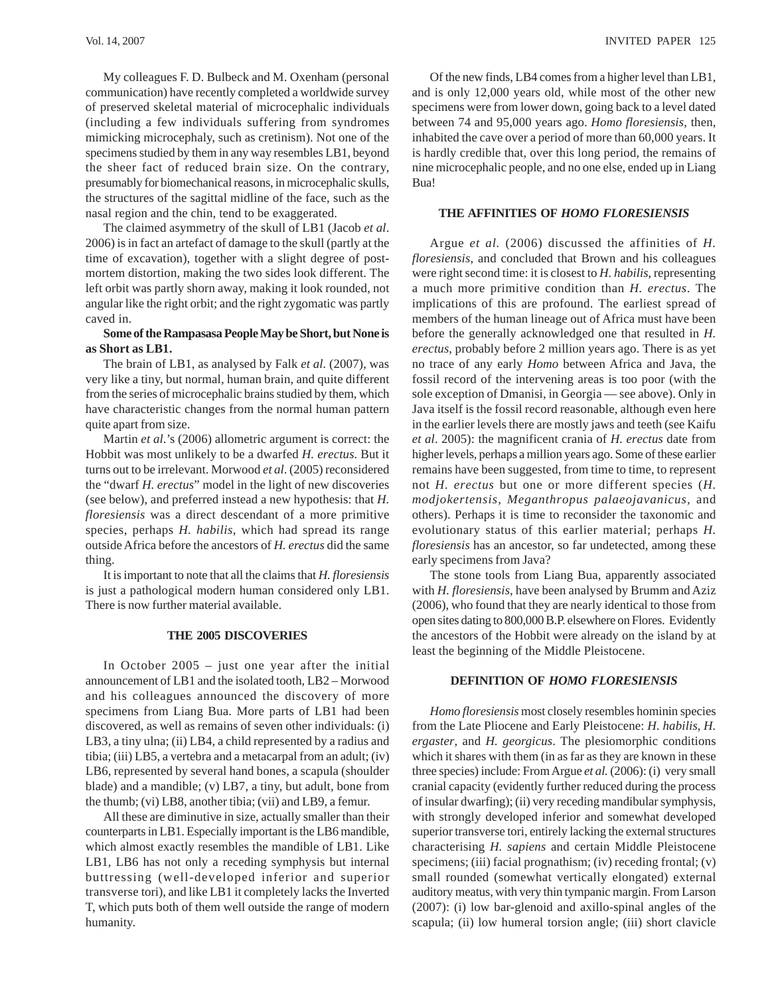My colleagues F. D. Bulbeck and M. Oxenham (personal communication) have recently completed a worldwide survey of preserved skeletal material of microcephalic individuals (including a few individuals suffering from syndromes mimicking microcephaly, such as cretinism). Not one of the specimens studied by them in any way resembles LB1, beyond the sheer fact of reduced brain size. On the contrary, presumably for biomechanical reasons, in microcephalic skulls, the structures of the sagittal midline of the face, such as the nasal region and the chin, tend to be exaggerated.

The claimed asymmetry of the skull of LB1 (Jacob *et al*. 2006) is in fact an artefact of damage to the skull (partly at the time of excavation), together with a slight degree of postmortem distortion, making the two sides look different. The left orbit was partly shorn away, making it look rounded, not angular like the right orbit; and the right zygomatic was partly caved in.

## **Some of the Rampasasa People May be Short, but None is as Short as LB1.**

The brain of LB1, as analysed by Falk *et al.* (2007), was very like a tiny, but normal, human brain, and quite different from the series of microcephalic brains studied by them, which have characteristic changes from the normal human pattern quite apart from size.

Martin *et al*.'s (2006) allometric argument is correct: the Hobbit was most unlikely to be a dwarfed *H. erectus*. But it turns out to be irrelevant. Morwood *et al*. (2005) reconsidered the "dwarf *H. erectus*" model in the light of new discoveries (see below), and preferred instead a new hypothesis: that *H. floresiensis* was a direct descendant of a more primitive species, perhaps *H. habilis*, which had spread its range outside Africa before the ancestors of *H. erectus* did the same thing.

It is important to note that all the claims that *H. floresiensis* is just a pathological modern human considered only LB1. There is now further material available.

## **THE 2005 DISCOVERIES**

In October 2005 – just one year after the initial announcement of LB1 and the isolated tooth, LB2 – Morwood and his colleagues announced the discovery of more specimens from Liang Bua. More parts of LB1 had been discovered, as well as remains of seven other individuals: (i) LB3, a tiny ulna; (ii) LB4, a child represented by a radius and tibia; (iii) LB5, a vertebra and a metacarpal from an adult; (iv) LB6, represented by several hand bones, a scapula (shoulder blade) and a mandible; (v) LB7, a tiny, but adult, bone from the thumb; (vi) LB8, another tibia; (vii) and LB9, a femur.

All these are diminutive in size, actually smaller than their counterparts in LB1. Especially important is the LB6 mandible, which almost exactly resembles the mandible of LB1. Like LB1, LB6 has not only a receding symphysis but internal buttressing (well-developed inferior and superior transverse tori), and like LB1 it completely lacks the Inverted T, which puts both of them well outside the range of modern humanity.

Of the new finds, LB4 comes from a higher level than LB1, and is only 12,000 years old, while most of the other new specimens were from lower down, going back to a level dated between 74 and 95,000 years ago. *Homo floresiensis*, then, inhabited the cave over a period of more than 60,000 years. It is hardly credible that, over this long period, the remains of nine microcephalic people, and no one else, ended up in Liang Bua!

#### **THE AFFINITIES OF** *HOMO FLORESIENSIS*

Argue *et al.* (2006) discussed the affinities of *H. floresiensis*, and concluded that Brown and his colleagues were right second time: it is closest to *H. habilis*, representing a much more primitive condition than *H. erectus*. The implications of this are profound. The earliest spread of members of the human lineage out of Africa must have been before the generally acknowledged one that resulted in *H. erectus*, probably before 2 million years ago. There is as yet no trace of any early *Homo* between Africa and Java, the fossil record of the intervening areas is too poor (with the sole exception of Dmanisi, in Georgia — see above). Only in Java itself is the fossil record reasonable, although even here in the earlier levels there are mostly jaws and teeth (see Kaifu *et al*. 2005): the magnificent crania of *H. erectus* date from higher levels, perhaps a million years ago. Some of these earlier remains have been suggested, from time to time, to represent not *H. erectus* but one or more different species (*H. modjokertensis, Meganthropus palaeojavanicus,* and others). Perhaps it is time to reconsider the taxonomic and evolutionary status of this earlier material; perhaps *H. floresiensis* has an ancestor, so far undetected, among these early specimens from Java?

The stone tools from Liang Bua, apparently associated with *H. floresiensis*, have been analysed by Brumm and Aziz (2006), who found that they are nearly identical to those from open sites dating to 800,000 B.P. elsewhere on Flores. Evidently the ancestors of the Hobbit were already on the island by at least the beginning of the Middle Pleistocene.

#### **DEFINITION OF** *HOMO FLORESIENSIS*

*Homo floresiensis* most closely resembles hominin species from the Late Pliocene and Early Pleistocene: *H. habilis*, *H. ergaster*, and *H. georgicus*. The plesiomorphic conditions which it shares with them (in as far as they are known in these three species) include: From Argue *et al.* (2006): (i) very small cranial capacity (evidently further reduced during the process of insular dwarfing); (ii) very receding mandibular symphysis, with strongly developed inferior and somewhat developed superior transverse tori, entirely lacking the external structures characterising *H. sapiens* and certain Middle Pleistocene specimens; (iii) facial prognathism; (iv) receding frontal; (v) small rounded (somewhat vertically elongated) external auditory meatus, with very thin tympanic margin. From Larson (2007): (i) low bar-glenoid and axillo-spinal angles of the scapula; (ii) low humeral torsion angle; (iii) short clavicle